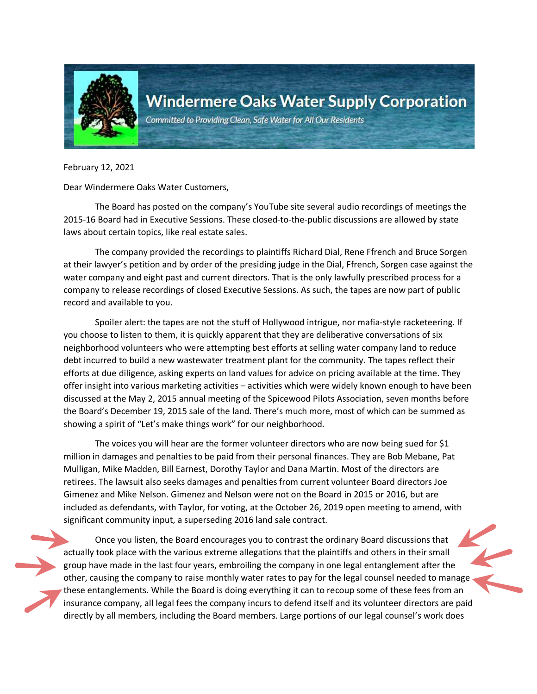

Committed to Providing Clean, Safe Water for All Our Residents

February 12, 2021

Dear Windermere Oaks Water Customers,

The Board has posted on the company's YouTube site several audio recordings of meetings the 2015-16 Board had in Executive Sessions. These closed-to-the-public discussions are allowed by state laws about certain topics, like real estate sales.

The company provided the recordings to plaintiffs Richard Dial, Rene Ffrench and Bruce Sorgen at their lawyer's petition and by order of the presiding judge in the Dial, Ffrench, Sorgen case against the water company and eight past and current directors. That is the only lawfully prescribed process for a company to release recordings of closed Executive Sessions. As such, the tapes are now part of public record and available to you.

Spoiler alert: the tapes are not the stuff of Hollywood intrigue, nor mafia-style racketeering. If you choose to listen to them, it is quickly apparent that they are deliberative conversations of six neighborhood volunteers who were attempting best efforts at selling water company land to reduce debt incurred to build a new wastewater treatment plant for the community. The tapes reflect their efforts at due diligence, asking experts on land values for advice on pricing available at the time. They offer insight into various marketing activities – activities which were widely known enough to have been discussed at the May 2, 2015 annual meeting of the Spicewood Pilots Association, seven months before the Board's December 19, 2015 sale of the land. There's much more, most of which can be summed as showing a spirit of "Let's make things work" for our neighborhood.

The voices you will hear are the former volunteer directors who are now being sued for \$1 million in damages and penalties to be paid from their personal finances. They are Bob Mebane, Pat Mulligan, Mike Madden, Bill Earnest, Dorothy Taylor and Dana Martin. Most of the directors are retirees. The lawsuit also seeks damages and penalties from current volunteer Board directors Joe Gimenez and Mike Nelson. Gimenez and Nelson were not on the Board in 2015 or 2016, but are included as defendants, with Taylor, for voting, at the October 26, 2019 open meeting to amend, with significant community input, a superseding 2016 land sale contract.

Once you listen, the Board encourages you to contrast the ordinary Board discussions that actually took place with the various extreme allegations that the plaintiffs and others in their small group have made in the last four years, embroiling the company in one legal entanglement after the other, causing the company to raise monthly water rates to pay for the legal counsel needed to manage these entanglements. While the Board is doing everything it can to recoup some of these fees from an insurance company, all legal fees the company incurs to defend itself and its volunteer directors are paid directly by all members, including the Board members. Large portions of our legal counsel's work does